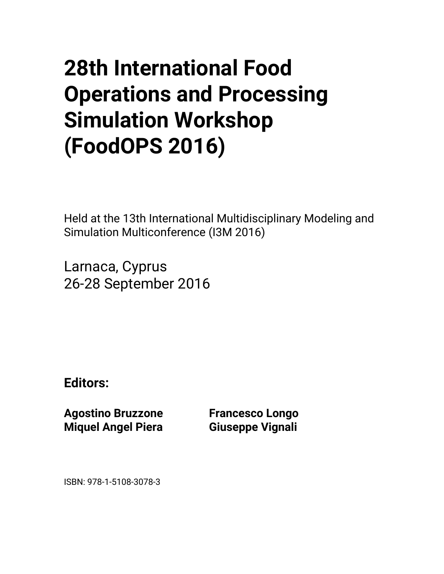## **28th International Food Operations and Processing Simulation Workshop (FoodOPS 2016)**

Held at the 13th International Multidisciplinary Modeling and Simulation Multiconference (I3M 2016)

Larnaca, Cyprus 26-28 September 2016

**Editors:** 

**Agostino Bruzzone Miquel Angel Piera** 

**Francesco Longo Giuseppe Vignali** 

ISBN: 978-1-5108-3078-3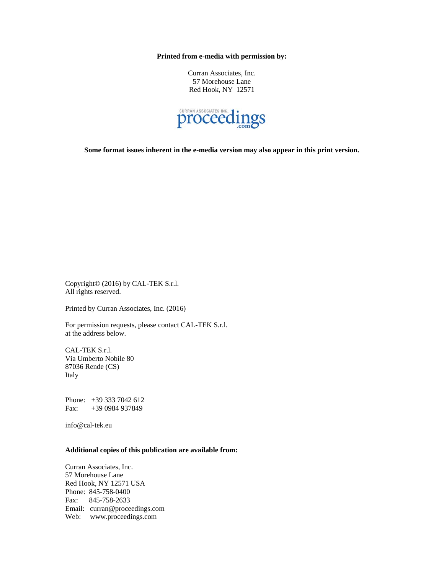**Printed from e-media with permission by:** 

Curran Associates, Inc. 57 Morehouse Lane Red Hook, NY 12571



**Some format issues inherent in the e-media version may also appear in this print version.** 

Copyright© (2016) by CAL-TEK S.r.l. All rights reserved.

Printed by Curran Associates, Inc. (2016)

For permission requests, please contact CAL-TEK S.r.l. at the address below.

CAL-TEK S.r.l. Via Umberto Nobile 80 87036 Rende (CS) Italy

Phone: +39 333 7042 612 Fax: +39 0984 937849

info@cal-tek.eu

## **Additional copies of this publication are available from:**

Curran Associates, Inc. 57 Morehouse Lane Red Hook, NY 12571 USA Phone: 845-758-0400 Fax: 845-758-2633 Email: curran@proceedings.com Web: www.proceedings.com